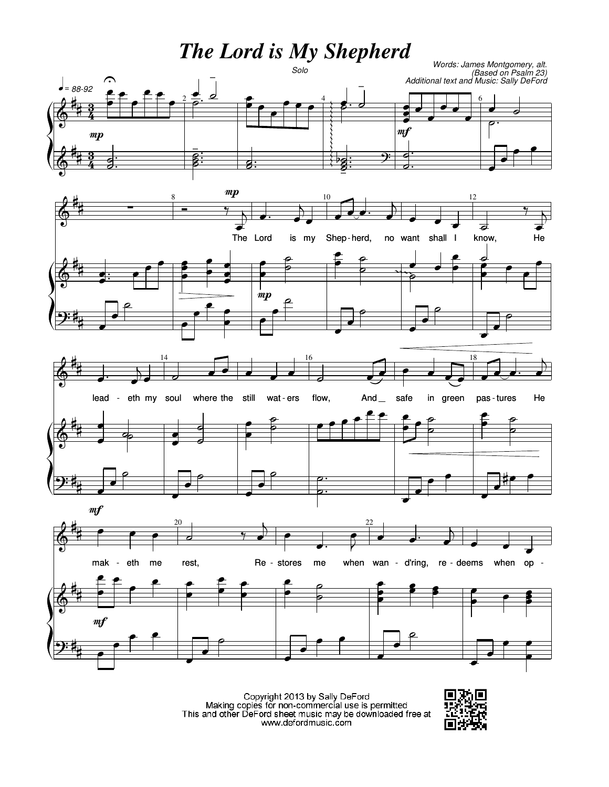*The Lord is My Shepherd*



Copyright 2013 by Sally DeFord<br>Making copies for non-commercial use is permitted<br>This and other DeFord sheet music may be downloaded free at<br>www.defordmusic.com

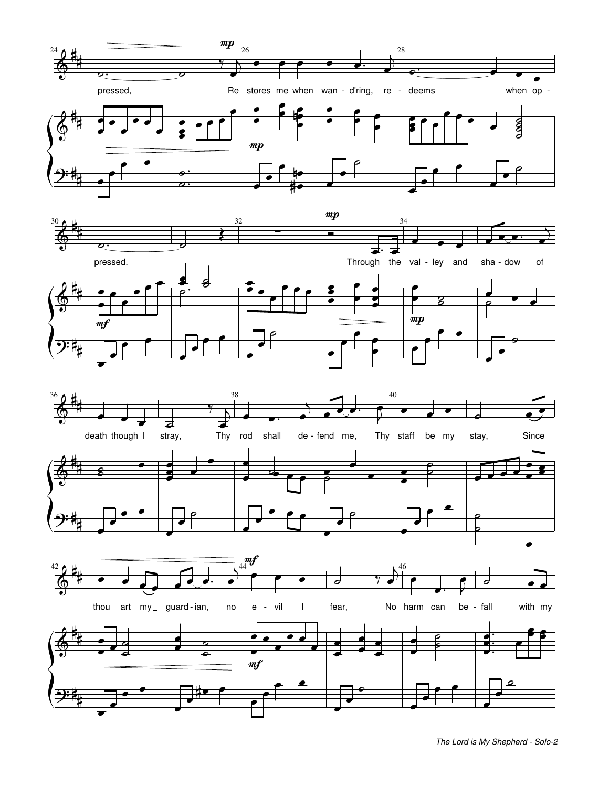







*The Lord is My Shepherd - Solo-2*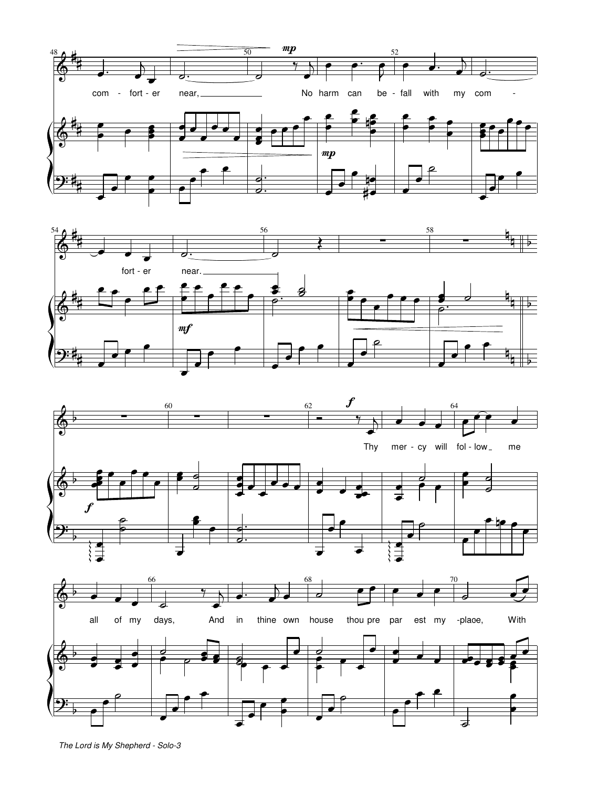







*The Lord is My Shepherd - Solo-3*